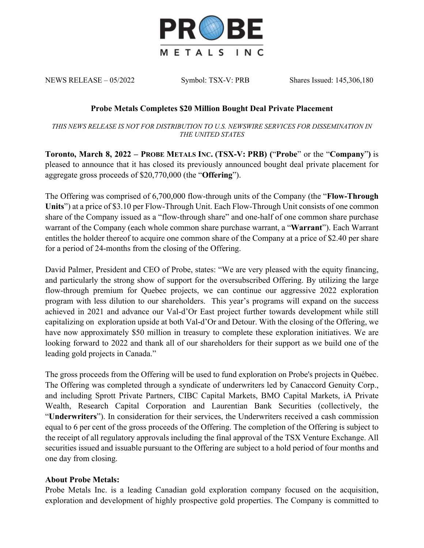

NEWS RELEASE – 05/2022 Symbol: TSX-V: PRB Shares Issued: 145,306,180

## **Probe Metals Completes \$20 Million Bought Deal Private Placement**

*THIS NEWS RELEASE IS NOT FOR DISTRIBUTION TO U.S. NEWSWIRE SERVICES FOR DISSEMINATION IN THE UNITED STATES*

**Toronto, March 8, 2022 – PROBE METALS INC. (TSX-V: PRB) (**"**Probe**" or the "**Company**"**)** is pleased to announce that it has closed its previously announced bought deal private placement for aggregate gross proceeds of \$20,770,000 (the "**Offering**").

The Offering was comprised of 6,700,000 flow-through units of the Company (the "**Flow-Through Units**") at a price of \$3.10 per Flow-Through Unit. Each Flow-Through Unit consists of one common share of the Company issued as a "flow-through share" and one-half of one common share purchase warrant of the Company (each whole common share purchase warrant, a "**Warrant**"). Each Warrant entitles the holder thereof to acquire one common share of the Company at a price of \$2.40 per share for a period of 24-months from the closing of the Offering.

David Palmer, President and CEO of Probe, states: "We are very pleased with the equity financing, and particularly the strong show of support for the oversubscribed Offering. By utilizing the large flow-through premium for Quebec projects, we can continue our aggressive 2022 exploration program with less dilution to our shareholders. This year's programs will expand on the success achieved in 2021 and advance our Val-d'Or East project further towards development while still capitalizing on exploration upside at both Val-d'Or and Detour. With the closing of the Offering, we have now approximately \$50 million in treasury to complete these exploration initiatives. We are looking forward to 2022 and thank all of our shareholders for their support as we build one of the leading gold projects in Canada."

The gross proceeds from the Offering will be used to fund exploration on Probe's projects in Québec. The Offering was completed through a syndicate of underwriters led by Canaccord Genuity Corp., and including Sprott Private Partners, CIBC Capital Markets, BMO Capital Markets, iA Private Wealth, Research Capital Corporation and Laurentian Bank Securities (collectively, the "**Underwriters**"). In consideration for their services, the Underwriters received a cash commission equal to 6 per cent of the gross proceeds of the Offering. The completion of the Offering is subject to the receipt of all regulatory approvals including the final approval of the TSX Venture Exchange. All securities issued and issuable pursuant to the Offering are subject to a hold period of four months and one day from closing.

## **About Probe Metals:**

Probe Metals Inc. is a leading Canadian gold exploration company focused on the acquisition, exploration and development of highly prospective gold properties. The Company is committed to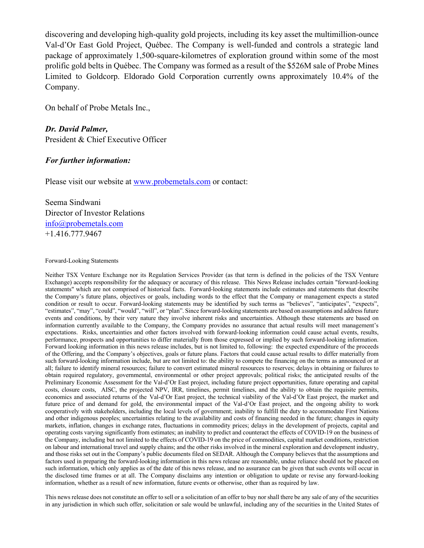discovering and developing high-quality gold projects, including its key asset the multimillion-ounce Val-d'Or East Gold Project, Québec. The Company is well-funded and controls a strategic land package of approximately 1,500-square-kilometres of exploration ground within some of the most prolific gold belts in Québec. The Company was formed as a result of the \$526M sale of Probe Mines Limited to Goldcorp. Eldorado Gold Corporation currently owns approximately 10.4% of the Company.

On behalf of Probe Metals Inc.,

*Dr. David Palmer,* President & Chief Executive Officer

## *For further information:*

Please visit our website at www.probemetals.com or contact:

Seema Sindwani Director of Investor Relations info@probemetals.com +1.416.777.9467

## Forward-Looking Statements

Neither TSX Venture Exchange nor its Regulation Services Provider (as that term is defined in the policies of the TSX Venture Exchange) accepts responsibility for the adequacy or accuracy of this release. This News Release includes certain "forward-looking statements" which are not comprised of historical facts. Forward-looking statements include estimates and statements that describe the Company's future plans, objectives or goals, including words to the effect that the Company or management expects a stated condition or result to occur. Forward-looking statements may be identified by such terms as "believes", "anticipates", "expects", "estimates", "may", "could", "would", "will", or "plan". Since forward-looking statements are based on assumptions and address future events and conditions, by their very nature they involve inherent risks and uncertainties. Although these statements are based on information currently available to the Company, the Company provides no assurance that actual results will meet management's expectations. Risks, uncertainties and other factors involved with forward-looking information could cause actual events, results, performance, prospects and opportunities to differ materially from those expressed or implied by such forward-looking information. Forward looking information in this news release includes, but is not limited to, following: the expected expenditure of the proceeds of the Offering, and the Company's objectives, goals or future plans. Factors that could cause actual results to differ materially from such forward-looking information include, but are not limited to: the ability to compete the financing on the terms as announced or at all; failure to identify mineral resources; failure to convert estimated mineral resources to reserves; delays in obtaining or failures to obtain required regulatory, governmental, environmental or other project approvals; political risks; the anticipated results of the Preliminary Economic Assessment for the Val-d'Or East project, including future project opportunities, future operating and capital costs, closure costs, AISC, the projected NPV, IRR, timelines, permit timelines, and the ability to obtain the requisite permits, economics and associated returns of the Val-d'Or East project, the technical viability of the Val-d'Or East project, the market and future price of and demand for gold, the environmental impact of the Val-d'Or East project, and the ongoing ability to work cooperatively with stakeholders, including the local levels of government; inability to fulfill the duty to accommodate First Nations and other indigenous peoples; uncertainties relating to the availability and costs of financing needed in the future; changes in equity markets, inflation, changes in exchange rates, fluctuations in commodity prices; delays in the development of projects, capital and operating costs varying significantly from estimates; an inability to predict and counteract the effects of COVID-19 on the business of the Company, including but not limited to the effects of COVID-19 on the price of commodities, capital market conditions, restriction on labour and international travel and supply chains; and the other risks involved in the mineral exploration and development industry, and those risks set out in the Company's public documents filed on SEDAR. Although the Company believes that the assumptions and factors used in preparing the forward-looking information in this news release are reasonable, undue reliance should not be placed on such information, which only applies as of the date of this news release, and no assurance can be given that such events will occur in the disclosed time frames or at all. The Company disclaims any intention or obligation to update or revise any forward-looking information, whether as a result of new information, future events or otherwise, other than as required by law.

This news release does not constitute an offer to sell or a solicitation of an offer to buy nor shall there be any sale of any of the securities in any jurisdiction in which such offer, solicitation or sale would be unlawful, including any of the securities in the United States of